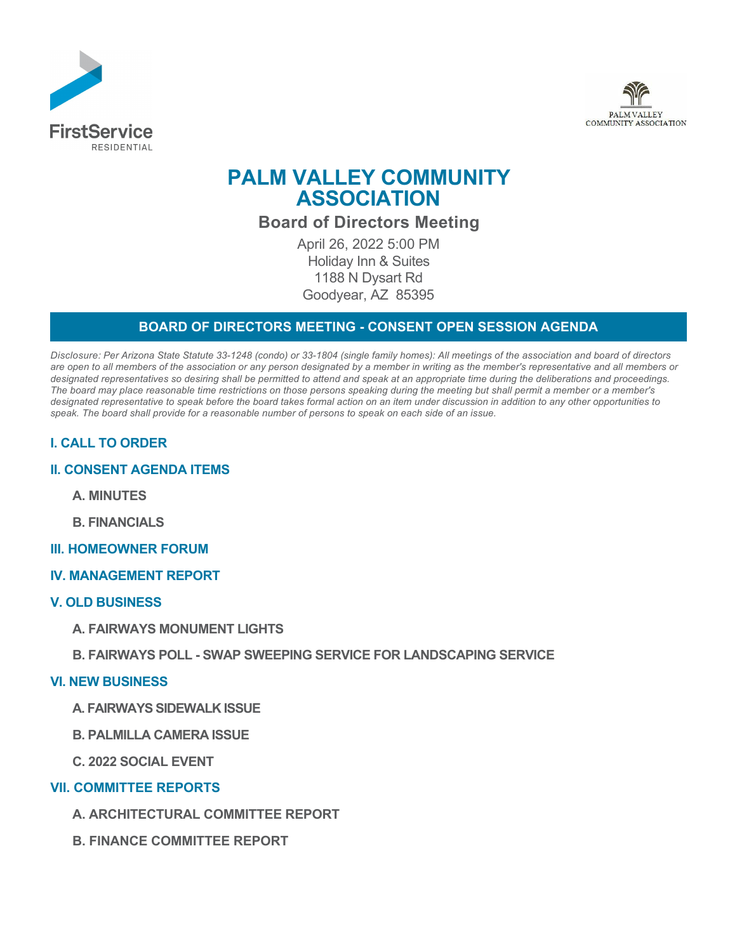



# **PALM VALLEY COMMUNITY ASSOCIATION**

# **Board of Directors Meeting**

April 26, 2022 5:00 PM Holiday Inn & Suites 1188 N Dysart Rd Goodyear, AZ 85395

### **BOARD OF DIRECTORS MEETING - CONSENT OPEN SESSION AGENDA**

*Disclosure: Per Arizona State Statute 33-1248 (condo) or 33-1804 (single family homes): All meetings of the association and board of directors are open to all members of the association or any person designated by a member in writing as the member's representative and all members or designated representatives so desiring shall be permitted to attend and speak at an appropriate time during the deliberations and proceedings. The board may place reasonable time restrictions on those persons speaking during the meeting but shall permit a member or a member's designated representative to speak before the board takes formal action on an item under discussion in addition to any other opportunities to speak. The board shall provide for a reasonable number of persons to speak on each side of an issue.* 

## **I. CALL TO ORDER**

#### **II. CONSENT AGENDA ITEMS**

**A. MINUTES**

**B. FINANCIALS**

#### **III. HOMEOWNER FORUM**

**IV. MANAGEMENT REPORT**

#### **V. OLD BUSINESS**

**A. FAIRWAYS MONUMENT LIGHTS**

#### **B. FAIRWAYS POLL - SWAP SWEEPING SERVICE FOR LANDSCAPING SERVICE**

#### **VI. NEW BUSINESS**

- **A. FAIRWAYS SIDEWALK ISSUE**
- **B. PALMILLA CAMERA ISSUE**
- **C. 2022 SOCIAL EVENT**

#### **VII. COMMITTEE REPORTS**

- **A. ARCHITECTURAL COMMITTEE REPORT**
- **B. FINANCE COMMITTEE REPORT**